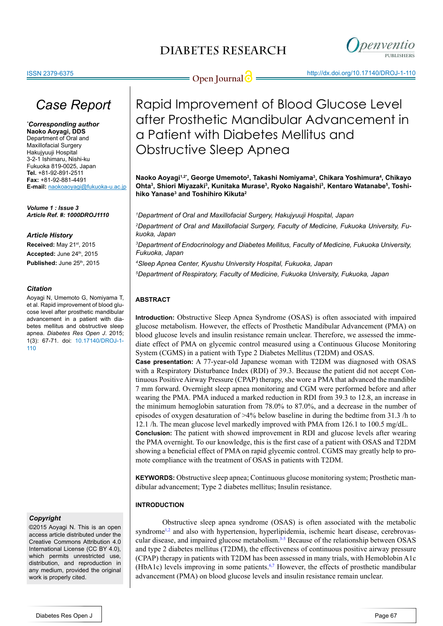

*Article History* **Received:** May 21st, 2015 Accepted: June 24<sup>th</sup>, 2015 **Published:** June 25th, 2015

*Volume 1 : Issue 3*

*Citation*

[110](http://openventio.org/Volume1_Issue3/Rapid_Improvement_of_Blood_Glucose_Level_after_Prosthetic_Mandibular_Advancement_in_a_Patient_with_Diabetes_Mellitus_and_Obstructive_Sleep_Apnea_DROJ_1_110.pdf)

*Case Report*

**E-mail:** naokoaoyagi@fukuoka-u.ac.jp

*Article Ref. #: 1000DROJ1110*

Aoyagi N, Umemoto G, Nomiyama T, et al. Rapid improvement of blood glucose level after prosthetic mandibular advancement in a patient with diabetes mellitus and obstructive sleep apnea. *Diabetes Res Open J*. 2015; 1(3): 67-71. doi: [10.17140/DROJ-1-](http://openventio.org/Volume1_Issue3/Rapid_Improvement_of_Blood_Glucose_Level_after_Prosthetic_Mandibular_Advancement_in_a_Patient_with_Diabetes_Mellitus_and_Obstructive_Sleep_Apnea_DROJ_1_110.pdf)

*\* Corresponding author* **Naoko Aoyagi, DDS** Department of Oral and Maxillofacial Surgery Hakujyuuji Hospital 3-2-1 Ishimaru, Nishi-ku Fukuoka 819-0025, Japan **Tel.** +81-92-891-2511 **Fax:** +81-92-881-4491

**Open Journal description of the open Journal description of the http://dx.doi.org/10.17140/DROJ-1-110** 

Rapid Improvement of Blood Glucose Level after Prosthetic Mandibular Advancement in a Patient with Diabetes Mellitus and Obstructive Sleep Apnea

**Naoko Aoyagi1,2\*, George Umemoto2 , Takashi Nomiyama3 , Chikara Yoshimura4 , Chikayo**  Ohta<sup>3</sup>, Shiori Miyazaki<sup>3</sup>, Kunitaka Murase<sup>3</sup>, Ryoko Nagaishi<sup>3</sup>, Kentaro Watanabe<sup>s</sup>, Toshi**hiko Yanase3 and Toshihiro Kikuta2**

*1 Department of Oral and Maxillofacial Surgery, Hakujyuuji Hospital, Japan 2 Department of Oral and Maxillofacial Surgery, Faculty of Medicine, Fukuoka University, Fukuoka, Japan*

*3 Department of Endocrinology and Diabetes Mellitus, Faculty of Medicine, Fukuoka University, Fukuoka, Japan*

*4 Sleep Apnea Center, Kyushu University Hospital, Fukuoka, Japan*

*5 Department of Respiratory, Faculty of Medicine, Fukuoka University, Fukuoka, Japan*

## **ABSTRACT**

**Introduction:** Obstructive Sleep Apnea Syndrome (OSAS) is often associated with impaired glucose metabolism. However, the effects of Prosthetic Mandibular Advancement (PMA) on blood glucose levels and insulin resistance remain unclear. Therefore, we assessed the immediate effect of PMA on glycemic control measured using a Continuous Glucose Monitoring System (CGMS) in a patient with Type 2 Diabetes Mellitus (T2DM) and OSAS.

**Case presentation:** A 77-year-old Japanese woman with T2DM was diagnosed with OSAS with a Respiratory Disturbance Index (RDI) of 39.3. Because the patient did not accept Continuous Positive Airway Pressure (CPAP) therapy, she wore a PMA that advanced the mandible 7 mm forward. Overnight sleep apnea monitoring and CGM were performed before and after wearing the PMA. PMA induced a marked reduction in RDI from 39.3 to 12.8, an increase in the minimum hemoglobin saturation from 78.0% to 87.0%, and a decrease in the number of episodes of oxygen desaturation of >4% below baseline in during the bedtime from 31.3 /h to 12.1 /h. The mean glucose level markedly improved with PMA from 126.1 to 100.5 mg/dL. **Conclusion:** The patient with showed improvement in RDI and glucose levels after wearing

the PMA overnight. To our knowledge, this is the first case of a patient with OSAS and T2DM showing a beneficial effect of PMA on rapid glycemic control. CGMS may greatly help to promote compliance with the treatment of OSAS in patients with T2DM.

**KEYWORDS:** Obstructive sleep apnea; Continuous glucose monitoring system; Prosthetic mandibular advancement; Type 2 diabetes mellitus; Insulin resistance.

## **INTRODUCTION**

*Copyright*

©2015 Aoyagi N. This is an open access article distributed under the Creative Commons Attribution 4.0 International License (CC BY 4.0), which permits unrestricted use, distribution, and reproduction in any medium, provided the original work is properly cited.

Obstructive sleep apnea syndrome (OSAS) is often associated with the metabolic syndrome<sup>1,2</sup> and also with hypertension, hyperlipidemia, ischemic heart disease, cerebrovascular disease, and impaired glucose metabolism.<sup>3-5</sup> Because of the relationship between OSAS and type 2 diabetes mellitus (T2DM), the effectiveness of continuous positive airway pressure (CPAP) therapy in patients with T2DM has been assessed in many trials, with Hemoblobin A1c (HbA1c) levels improving in some patients.[6,7](#page-3-0) However, the effects of prosthetic mandibular advancement (PMA) on blood glucose levels and insulin resistance remain unclear.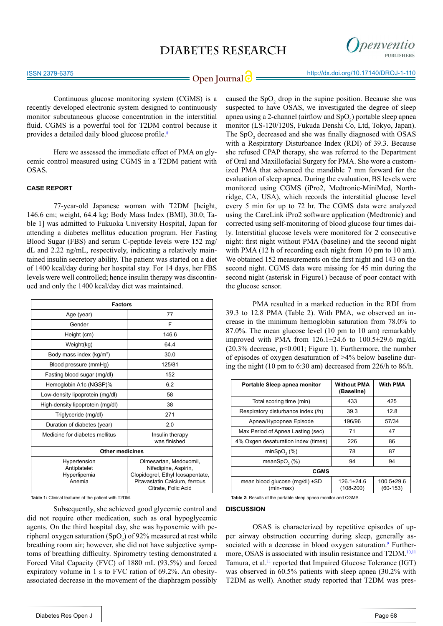

# **Open Journal | implicit in the intervention of the Uppen Journal | implicit in the intervention of the implicit in the Open Journal of**  $\bigcirc$

Continuous glucose monitoring system (CGMS) is a recently developed electronic system designed to continuously monitor subcutaneous glucose concentration in the interstitial fluid. CGMS is a powerful tool for T2DM control because it provides a detailed daily blood glucose profile.[8](#page-3-1)

Here we assessed the immediate effect of PMA on glycemic control measured using CGMS in a T2DM patient with OSAS.

#### **CASE REPORT**

77-year-old Japanese woman with T2DM [height, 146.6 cm; weight, 64.4 kg; Body Mass Index (BMI), 30.0; Table 1] was admitted to Fukuoka University Hospital, Japan for attending a diabetes mellitus education program. Her Fasting Blood Sugar (FBS) and serum C-peptide levels were 152 mg/ dL and 2.22 ng/mL, respectively, indicating a relatively maintained insulin secretory ability. The patient was started on a diet of 1400 kcal/day during her hospital stay. For 14 days, her FBS levels were well controlled; hence insulin therapy was discontinued and only the 1400 kcal/day diet was maintained.

| <b>Factors</b>                                         |                                                                                                                                            |  |
|--------------------------------------------------------|--------------------------------------------------------------------------------------------------------------------------------------------|--|
| Age (year)                                             | 77                                                                                                                                         |  |
| Gender                                                 | F                                                                                                                                          |  |
| Height (cm)                                            | 146.6                                                                                                                                      |  |
| Weight(kg)                                             | 64.4                                                                                                                                       |  |
| Body mass index (kg/m <sup>2</sup> )                   | 30.0                                                                                                                                       |  |
| Blood pressure (mmHg)                                  | 125/81                                                                                                                                     |  |
| Fasting blood sugar (mg/dl)                            | 152                                                                                                                                        |  |
| Hemoglobin A1c (NGSP)%                                 | 6.2                                                                                                                                        |  |
| Low-density lipoprotein (mg/dl)                        | 58                                                                                                                                         |  |
| High-density lipoprotein (mg/dl)                       | 38                                                                                                                                         |  |
| Triglyceride (mg/dl)                                   | 271                                                                                                                                        |  |
| Duration of diabetes (year)                            | 2.0                                                                                                                                        |  |
| Medicine for diabetes mellitus                         | Insulin therapy<br>was finished                                                                                                            |  |
| <b>Other medicines</b>                                 |                                                                                                                                            |  |
| Hypertension<br>Antiplatelet<br>Hyperlipemia<br>Anemia | Olmesartan, Medoxomil,<br>Nifedipine, Aspirin,<br>Clopidogrel, Ethyl Icosapentate,<br>Pitavastatin Calcium, ferrous<br>Citrate, Folic Acid |  |

**Table 1:** Clinical features of the patient with T2DM.

Subsequently, she achieved good glycemic control and did not require other medication, such as oral hypoglycemic agents. On the third hospital day, she was hypoxemic with peripheral oxygen saturation  $(SpO<sub>2</sub>)$  of 92% measured at rest while breathing room air; however, she did not have subjective symptoms of breathing difficulty. Spirometry testing demonstrated a Forced Vital Capacity (FVC) of 1880 mL (93.5%) and forced expiratory volume in 1 s to FVC ration of 69.2%. An obesityassociated decrease in the movement of the diaphragm possibly

she refused CPAP therapy, she was referred to the Department of Oral and Maxillofacial Surgery for PMA. She wore a customized PMA that advanced the mandible 7 mm forward for the evaluation of sleep apnea. During the evaluation, BS levels were monitored using CGMS (iPro2, Medtronic-MiniMed, Northridge, CA, USA), which records the interstitial glucose level every 5 min for up to 72 hr. The CGMS data were analyzed using the CareLink iPro2 software application (Medtronic) and corrected using self-monitoring of blood glucose four times daily. Interstitial glucose levels were monitored for 2 consecutive night: first night without PMA (baseline) and the second night with PMA (12 h of recording each night from 10 pm to 10 am). We obtained 152 measurements on the first night and 143 on the second night. CGMS data were missing for 45 min during the second night (asterisk in Figure1) because of poor contact with the glucose sensor. PMA resulted in a marked reduction in the RDI from

39.3 to 12.8 PMA (Table 2). With PMA, we observed an increase in the minimum hemoglobin saturation from 78.0% to 87.0%. The mean glucose level (10 pm to 10 am) remarkably improved with PMA from  $126.1 \pm 24.6$  to  $100.5 \pm 29.6$  mg/dL (20.3% decrease, p<0.001; Figure 1). Furthermore, the number of episodes of oxygen desaturation of >4% below baseline during the night (10 pm to 6:30 am) decreased from 226/h to 86/h.

caused the  $SpO<sub>2</sub>$  drop in the supine position. Because she was suspected to have OSAS, we investigated the degree of sleep apnea using a 2-channel (airflow and  $SpO<sub>2</sub>$ ) portable sleep apnea monitor (LS-120/120S, Fukuda Denshi Co, Ltd, Tokyo, Japan). The  $SpO<sub>2</sub>$  decreased and she was finally diagnosed with OSAS with a Respiratory Disturbance Index (RDI) of 39.3. Because

| Portable Sleep apnea monitor                | <b>Without PMA</b><br>(Baseline) | <b>With PMA</b>                |
|---------------------------------------------|----------------------------------|--------------------------------|
| Total scoring time (min)                    | 433                              | 425                            |
| Respiratory disturbance index (/h)          | 39.3                             | 12.8                           |
| Apnea/Hypopnea Episode                      | 196/96                           | 57/34                          |
| Max Period of Apnea Lasting (sec)           | 71                               | 47                             |
| 4% Oxgen desaturation index (times)         | 226                              | 86                             |
| minSpO <sub>2</sub> (%)                     | 78                               | 87                             |
| meanSpO <sub><math>2(%)</math></sub>        | 94                               | 94                             |
| <b>CGMS</b>                                 |                                  |                                |
| mean blood glucose (mg/dl) ±SD<br>(min-max) | $126.1 \pm 24.6$<br>$(108-200)$  | $100.5 \pm 29.6$<br>$(60-153)$ |

**Table 2:** Results of the portable sleep apnea monitor and CGMS.

## **DISCUSSION**

OSAS is characterized by repetitive episodes of upper airway obstruction occurring during sleep, generally associated with a decrease in blood oxygen saturation.<sup>9</sup> Furthermore, OSAS is associated with insulin resistance and T2DM.<sup>10,11</sup> Tamura, et al.<sup>[11](#page-3-4)</sup> reported that Impaired Glucose Tolerance (IGT) was observed in 60.5% patients with sleep apnea (30.2% with T2DM as well). Another study reported that T2DM was pres-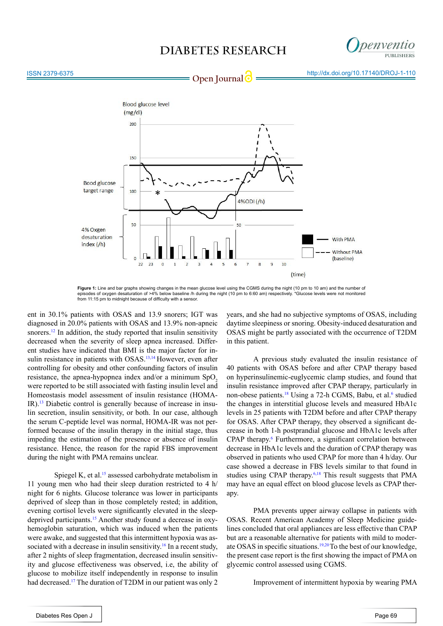



**Figure 1:** Line and bar graphs showing changes in the mean glucose level using the CGMS during the night (10 pm to 10 am) and the number of episodes of oxygen desaturation of >4% below baseline /h during the night (10 pm to 6:60 am) respectively. \*Glucose levels were not monitored<br>from 11:15 pm to midnight because of difficulty with a sensor.

ent in 30.1% patients with OSAS and 13.9 snorers; IGT was diagnosed in 20.0% patients with OSAS and 13.9% non-apneic snorers.<sup>12</sup> In addition, the study reported that insulin sensitivity decreased when the severity of sleep apnea increased. Different studies have indicated that BMI is the major factor for in-sulin resistance in patients with OSAS.<sup>[13,14](#page-3-6)</sup> However, even after controlling for obesity and other confounding factors of insulin resistance, the apnea-hypopnea index and/or a minimum  $SpO<sub>2</sub>$ were reported to be still associated with fasting insulin level and Homeostasis model assessment of insulin resistance (HOMA-IR).[13](#page-3-6) Diabetic control is generally because of increase in insulin secretion, insulin sensitivity, or both. In our case, although the serum C-peptide level was normal, HOMA-IR was not performed because of the insulin therapy in the initial stage, thus impeding the estimation of the presence or absence of insulin resistance. Hence, the reason for the rapid FBS improvement during the night with PMA remains unclear.

Spiegel K, et al.<sup>15</sup> assessed carbohydrate metabolism in 11 young men who had their sleep duration restricted to 4 h/ night for 6 nights. Glucose tolerance was lower in participants deprived of sleep than in those completely rested; in addition, evening cortisol levels were significantly elevated in the sleepdeprived participants.<sup>15</sup> Another study found a decrease in oxyhemoglobin saturation, which was induced when the patients were awake, and suggested that this intermittent hypoxia was associated with a decrease in insulin sensitivity.<sup>16</sup> In a recent study, after 2 nights of sleep fragmentation, decreased insulin sensitivity and glucose effectiveness was observed, i.e, the ability of glucose to mobilize itself independently in response to insulin had decreased.<sup>17</sup> The duration of T2DM in our patient was only 2

years, and she had no subjective symptoms of OSAS, including daytime sleepiness or snoring. Obesity-induced desaturation and OSAS might be partly associated with the occurrence of T2DM in this patient.

A previous study evaluated the insulin resistance of 40 patients with OSAS before and after CPAP therapy based on hyperinsulinemic-euglycemic clamp studies, and found that insulin resistance improved after CPAP therapy, particularly in non-obese patients.<sup>18</sup> Using a 72-h CGMS, Babu, et al.<sup>[6](#page-3-0)</sup> studied the changes in interstitial glucose levels and measured HbA1c levels in 25 patients with T2DM before and after CPAP therapy for OSAS. After CPAP therapy, they observed a significant decrease in both 1-h postprandial glucose and HbA1c levels after CPAP therapy.<sup>[6](#page-3-0)</sup> Furthermore, a significant correlation between decrease in HbA1c levels and the duration of CPAP therapy was observed in patients who used CPAP for more than 4 h/day. Our case showed a decrease in FBS levels similar to that found in studies using CPAP therapy[.6](#page-3-0)[,18](#page-3-10) This result suggests that PMA may have an equal effect on blood glucose levels as CPAP therapy.

PMA prevents upper airway collapse in patients with OSAS. Recent American Academy of Sleep Medicine guidelines concluded that oral appliances are less effective than CPAP but are a reasonable alternative for patients with mild to moderate OSAS in specific situations.19,20To the best of our knowledge, the present case report is the first showing the impact of PMA on glycemic control assessed using CGMS.

Improvement of intermittent hypoxia by wearing PMA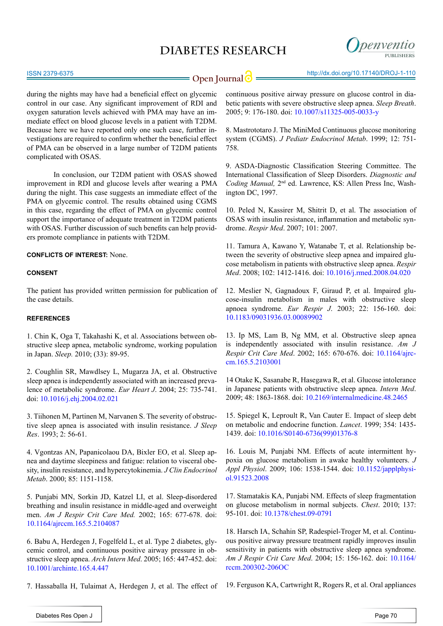

ISSN 2379-6375

**Open Journal | impact the integration of the UP of the UP of the UP of the UP of the UP of the UP of the UP of the UP of the UP of the UP of the UP of the UP of the UP of the UP of the UP of the UP of the UP of the UP of** 

during the nights may have had a beneficial effect on glycemic control in our case. Any significant improvement of RDI and oxygen saturation levels achieved with PMA may have an immediate effect on blood glucose levels in a patient with T2DM. Because here we have reported only one such case, further investigations are required to confirm whether the beneficial effect of PMA can be observed in a large number of T2DM patients complicated with OSAS.

In conclusion, our T2DM patient with OSAS showed improvement in RDI and glucose levels after wearing a PMA during the night. This case suggests an immediate effect of the PMA on glycemic control. The results obtained using CGMS in this case, regarding the effect of PMA on glycemic control support the importance of adequate treatment in T2DM patients with OSAS. Further discussion of such benefits can help providers promote compliance in patients with T2DM.

**CONFLICTS OF INTEREST:** None.

### **CONSENT**

The patient has provided written permission for publication of the case details.

#### **REFERENCES**

1. Chin K, Oga T, Takahashi K, et al. Associations between obstructive sleep apnea, metabolic syndrome, working population in Japan. *Sleep.* 2010; (33): 89-95.

2. Coughlin SR, Mawdlsey L, Mugarza JA, et al. Obstructive sleep apnea is independently associated with an increased prevalence of metabolic syndrome. *Eur Heart J*. 2004; 25: 735-741. doi: [10.1016/j.ehj.2004.02.021](http://eurheartj.oxfordjournals.org/content/25/9/735.long)

3. Tiihonen M, Partinen M, Narvanen S. The severity of obstructive sleep apnea is associated with insulin resistance. *J Sleep Res*. 1993; 2: 56-61.

4. Vgontzas AN, Papanicolaou DA, Bixler EO, et al. Sleep apnea and daytime sleepiness and fatigue: relation to visceral obesity, insulin resistance, and hypercytokinemia. *J Clin Endocrinol Metab*. 2000; 85: 1151-1158.

5. Punjabi MN, Sorkin JD, Katzel LI, et al. Sleep-disordered breathing and insulin resistance in middle-aged and overweight men. *Am J Respir Crit Care Med.* 2002; 165: 677-678. doi: [10.1164/ajrccm.165.5.2104087](http://www.atsjournals.org/doi/full/10.1164/ajrccm.165.5.2104087%23.VykKnBuqpHw) 

<span id="page-3-0"></span>6. Babu A, Herdegen J, Fogelfeld L, et al. Type 2 diabetes, glycemic control, and continuous positive airway pressure in obstructive sleep apnea. *Arch Intern Med*. 2005; 165: 447-452. doi: [10.1001/archinte.165.4.447](http://archinte.jamanetwork.com/article.aspx%3Farticleid%3D486425)

7. Hassaballa H, Tulaimat A, Herdegen J, et al. The effect of

continuous positive airway pressure on glucose control in diabetic patients with severe obstructive sleep apnea. *Sleep Breath*. 2005; 9: 176-180. doi[: 10.1007/s11325-005-0033-y](http://link.springer.com/article/10.1007%252Fs11325-005-0033-y)

<span id="page-3-1"></span>8. Mastrototaro J. The MiniMed Continuous glucose monitoring system (CGMS). *J Pediatr Endocrinol Metab*. 1999; 12: 751- 758.

<span id="page-3-2"></span>9. ASDA-Diagnostic Classification Steering Committee. The International Classification of Sleep Disorders. *Diagnostic and Coding Manual,* 2nd ed. Lawrence, KS: Allen Press Inc, Washington DC, 1997.

<span id="page-3-3"></span>10. Peled N, Kassirer M, Shitrit D, et al. The association of OSAS with insulin resistance, inflammation and metabolic syndrome. *Respir Med*. 2007; 101: 2007.

<span id="page-3-4"></span>11. Tamura A, Kawano Y, Watanabe T, et al. Relationship between the severity of obstructive sleep apnea and impaired glucose metabolism in patients with obstructive sleep apnea. *Respir Med*. 2008; 102: 1412-1416. doi: [10.1016/j.rmed.2008.04.020](http://www.resmedjournal.com/article/S0954-6111%2808%2900172-8/abstract)

<span id="page-3-5"></span>12. Meslier N, Gagnadoux F, Giraud P, et al. Impaired glucose-insulin metabolism in males with obstructive sleep apnoea syndrome. *Eur Respir J*. 2003; 22: 156-160. doi: [10.1183/09031936.03.00089902](http://erj.ersjournals.com/content/22/1/156.long) 

<span id="page-3-6"></span>13. Ip MS, Lam B, Ng MM, et al. Obstructive sleep apnea is independently associated with insulin resistance. *Am J Respir Crit Care Med*. 2002; 165: 670-676. doi: [10.1164/ajrc](http://www.atsjournals.org/doi/abs/10.1164/ajrccm.165.5.2103001%3Furl_ver%3DZ39.88-2003%26rfr_id%3Dori:rid:crossref.org%26rfr_dat%3Dcr_pub%253dpubmed)[cm.165.5.2103001](http://www.atsjournals.org/doi/abs/10.1164/ajrccm.165.5.2103001%3Furl_ver%3DZ39.88-2003%26rfr_id%3Dori:rid:crossref.org%26rfr_dat%3Dcr_pub%253dpubmed)

14 Otake K, Sasanabe R, Hasegawa R, et al. Glucose intolerance in Japanese patients with obstructive sleep apnea. *Intern Med*. 2009; 48: 1863-1868. doi: [10.2169/internalmedicine.48.2465](https://www.jstage.jst.go.jp/article/internalmedicine/48/21/48_21_1863/_article)

<span id="page-3-7"></span>15. Spiegel K, Leproult R, Van Cauter E. Impact of sleep debt on metabolic and endocrine function. *Lancet*. 1999; 354: 1435- 1439. doi: [10.1016/S0140-6736\(99\)01376-8](http://www.thelancet.com/journals/lancet/article/PIIS0140-6736%2899%2901376-8/abstract)

<span id="page-3-8"></span>16. Louis M, Punjabi NM. Effects of acute intermittent hypoxia on glucose metabolism in awake healthy volunteers. *J Appl Physiol*. 2009; 106: 1538-1544. doi: [10.1152/japplphysi](http://www.ncbi.nlm.nih.gov/pubmed/19265062)[ol.91523.2008](http://www.ncbi.nlm.nih.gov/pubmed/19265062)

<span id="page-3-9"></span>17. Stamatakis KA, Punjabi NM. Effects of sleep fragmentation on glucose metabolism in normal subjects. *Chest*. 2010; 137: 95-101. doi: [10.1378/chest.09-0791](http://www.ncbi.nlm.nih.gov/pubmed/19542260)

<span id="page-3-10"></span>18. Harsch IA, Schahin SP, Radespiel-Troger M, et al. Continuous positive airway pressure treatment rapidly improves insulin sensitivity in patients with obstructive sleep apnea syndrome. *Am J Respir Crit Care Med*. 2004; 15: 156-162. doi: [10.1164/](http://www.ncbi.nlm.nih.gov/pubmed/14512265) [rccm.200302-206OC](http://www.ncbi.nlm.nih.gov/pubmed/14512265)

19. Ferguson KA, Cartwright R, Rogers R, et al. Oral appliances